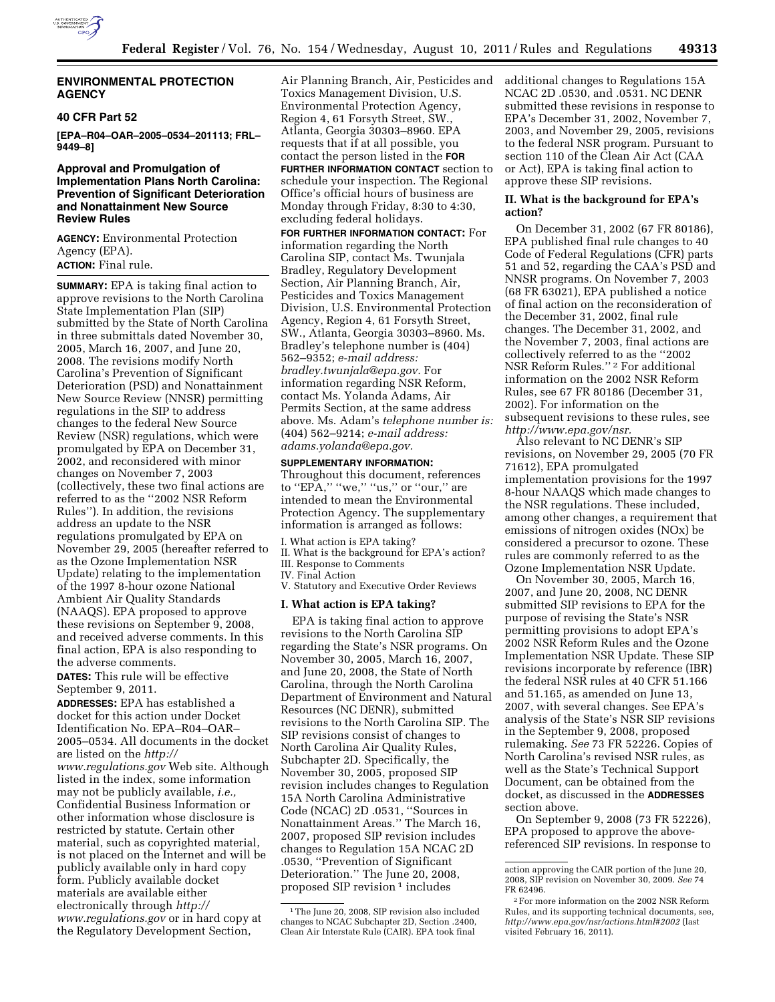

# **ENVIRONMENTAL PROTECTION AGENCY**

### **40 CFR Part 52**

**[EPA–R04–OAR–2005–0534–201113; FRL– 9449–8]** 

# **Approval and Promulgation of Implementation Plans North Carolina: Prevention of Significant Deterioration and Nonattainment New Source Review Rules**

**AGENCY:** Environmental Protection Agency (EPA). **ACTION:** Final rule.

**SUMMARY:** EPA is taking final action to approve revisions to the North Carolina State Implementation Plan (SIP) submitted by the State of North Carolina in three submittals dated November 30, 2005, March 16, 2007, and June 20, 2008. The revisions modify North Carolina's Prevention of Significant Deterioration (PSD) and Nonattainment New Source Review (NNSR) permitting regulations in the SIP to address changes to the federal New Source Review (NSR) regulations, which were promulgated by EPA on December 31, 2002, and reconsidered with minor changes on November 7, 2003 (collectively, these two final actions are referred to as the ''2002 NSR Reform Rules''). In addition, the revisions address an update to the NSR regulations promulgated by EPA on November 29, 2005 (hereafter referred to as the Ozone Implementation NSR Update) relating to the implementation of the 1997 8-hour ozone National Ambient Air Quality Standards (NAAQS). EPA proposed to approve these revisions on September 9, 2008, and received adverse comments. In this final action, EPA is also responding to the adverse comments.

**DATES:** This rule will be effective September 9, 2011.

**ADDRESSES:** EPA has established a docket for this action under Docket Identification No. EPA–R04–OAR– 2005–0534. All documents in the docket are listed on the *http:// www.regulations.gov* Web site. Although listed in the index, some information may not be publicly available, *i.e.,*  Confidential Business Information or other information whose disclosure is restricted by statute. Certain other material, such as copyrighted material, is not placed on the Internet and will be publicly available only in hard copy form. Publicly available docket materials are available either electronically through *http:// www.regulations.gov* or in hard copy at the Regulatory Development Section,

Air Planning Branch, Air, Pesticides and Toxics Management Division, U.S. Environmental Protection Agency, Region 4, 61 Forsyth Street, SW., Atlanta, Georgia 30303–8960. EPA requests that if at all possible, you contact the person listed in the **FOR FURTHER INFORMATION CONTACT** section to schedule your inspection. The Regional Office's official hours of business are Monday through Friday, 8:30 to 4:30, excluding federal holidays. **FOR FURTHER INFORMATION CONTACT:** For information regarding the North Carolina SIP, contact Ms. Twunjala Bradley, Regulatory Development Section, Air Planning Branch, Air,

Pesticides and Toxics Management Division, U.S. Environmental Protection Agency, Region 4, 61 Forsyth Street, SW., Atlanta, Georgia 30303–8960. Ms. Bradley's telephone number is (404) 562–9352; *e-mail address: bradley.twunjala@epa.gov.* For information regarding NSR Reform, contact Ms. Yolanda Adams, Air Permits Section, at the same address above. Ms. Adam's *telephone number is:*  (404) 562–9214; *e-mail address: adams.yolanda@epa.gov.* 

#### **SUPPLEMENTARY INFORMATION:**

Throughout this document, references to " $EPA$ ," "we," "us," or "our," are intended to mean the Environmental Protection Agency. The supplementary information is arranged as follows:

- I. What action is EPA taking?
- II. What is the background for EPA's action?
- III. Response to Comments IV. Final Action
- V. Statutory and Executive Order Reviews

## **I. What action is EPA taking?**

EPA is taking final action to approve revisions to the North Carolina SIP regarding the State's NSR programs. On November 30, 2005, March 16, 2007, and June 20, 2008, the State of North Carolina, through the North Carolina Department of Environment and Natural Resources (NC DENR), submitted revisions to the North Carolina SIP. The SIP revisions consist of changes to North Carolina Air Quality Rules, Subchapter 2D. Specifically, the November 30, 2005, proposed SIP revision includes changes to Regulation 15A North Carolina Administrative Code (NCAC) 2D .0531, ''Sources in Nonattainment Areas.'' The March 16, 2007, proposed SIP revision includes changes to Regulation 15A NCAC 2D .0530, ''Prevention of Significant Deterioration.'' The June 20, 2008, proposed SIP revision 1 includes

additional changes to Regulations 15A NCAC 2D .0530, and .0531. NC DENR submitted these revisions in response to EPA's December 31, 2002, November 7, 2003, and November 29, 2005, revisions to the federal NSR program. Pursuant to section 110 of the Clean Air Act (CAA or Act), EPA is taking final action to approve these SIP revisions.

### **II. What is the background for EPA's action?**

On December 31, 2002 (67 FR 80186), EPA published final rule changes to 40 Code of Federal Regulations (CFR) parts 51 and 52, regarding the CAA's PSD and NNSR programs. On November 7, 2003 (68 FR 63021), EPA published a notice of final action on the reconsideration of the December 31, 2002, final rule changes. The December 31, 2002, and the November 7, 2003, final actions are collectively referred to as the ''2002 NSR Reform Rules.'' 2 For additional information on the 2002 NSR Reform Rules, see 67 FR 80186 (December 31, 2002). For information on the subsequent revisions to these rules, see *http://www.epa.gov/nsr.* 

Also relevant to NC DENR's SIP revisions, on November 29, 2005 (70 FR 71612), EPA promulgated implementation provisions for the 1997 8-hour NAAQS which made changes to the NSR regulations. These included, among other changes, a requirement that emissions of nitrogen oxides (NOx) be considered a precursor to ozone. These rules are commonly referred to as the Ozone Implementation NSR Update.

On November 30, 2005, March 16, 2007, and June 20, 2008, NC DENR submitted SIP revisions to EPA for the purpose of revising the State's NSR permitting provisions to adopt EPA's 2002 NSR Reform Rules and the Ozone Implementation NSR Update. These SIP revisions incorporate by reference (IBR) the federal NSR rules at 40 CFR 51.166 and 51.165, as amended on June 13, 2007, with several changes. See EPA's analysis of the State's NSR SIP revisions in the September 9, 2008, proposed rulemaking. *See* 73 FR 52226. Copies of North Carolina's revised NSR rules, as well as the State's Technical Support Document, can be obtained from the docket, as discussed in the **ADDRESSES** section above.

On September 9, 2008 (73 FR 52226), EPA proposed to approve the abovereferenced SIP revisions. In response to

<sup>&</sup>lt;sup>1</sup>The June 20, 2008, SIP revision also included changes to NCAC Subchapter 2D, Section .2400, Clean Air Interstate Rule (CAIR). EPA took final

action approving the CAIR portion of the June 20, 2008, SIP revision on November 30, 2009. *See* 74 FR 62496.

<sup>2</sup>For more information on the 2002 NSR Reform Rules, and its supporting technical documents, see, *http://www.epa.gov/nsr/actions.html#2002* (last visited February 16, 2011).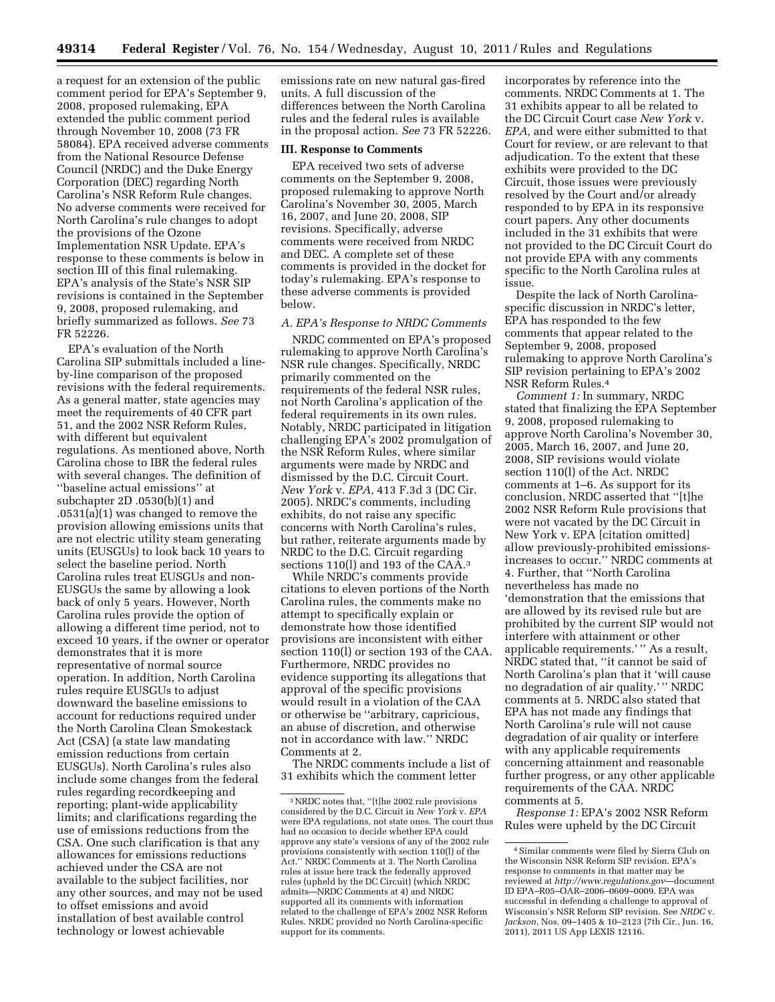a request for an extension of the public comment period for EPA's September 9, 2008, proposed rulemaking, EPA extended the public comment period through November 10, 2008 (73 FR 58084). EPA received adverse comments from the National Resource Defense Council (NRDC) and the Duke Energy Corporation (DEC) regarding North Carolina's NSR Reform Rule changes. No adverse comments were received for North Carolina's rule changes to adopt the provisions of the Ozone Implementation NSR Update. EPA's response to these comments is below in section III of this final rulemaking. EPA's analysis of the State's NSR SIP revisions is contained in the September 9, 2008, proposed rulemaking, and briefly summarized as follows. *See* 73 FR 52226.

EPA's evaluation of the North Carolina SIP submittals included a lineby-line comparison of the proposed revisions with the federal requirements. As a general matter, state agencies may meet the requirements of 40 CFR part 51, and the 2002 NSR Reform Rules, with different but equivalent regulations. As mentioned above, North Carolina chose to IBR the federal rules with several changes. The definition of ''baseline actual emissions'' at subchapter 2D .0530(b)(1) and .0531(a)(1) was changed to remove the provision allowing emissions units that are not electric utility steam generating units (EUSGUs) to look back 10 years to select the baseline period. North Carolina rules treat EUSGUs and non-EUSGUs the same by allowing a look back of only 5 years. However, North Carolina rules provide the option of allowing a different time period, not to exceed 10 years, if the owner or operator demonstrates that it is more representative of normal source operation. In addition, North Carolina rules require EUSGUs to adjust downward the baseline emissions to account for reductions required under the North Carolina Clean Smokestack Act (CSA) (a state law mandating emission reductions from certain EUSGUs). North Carolina's rules also include some changes from the federal rules regarding recordkeeping and reporting; plant-wide applicability limits; and clarifications regarding the use of emissions reductions from the CSA. One such clarification is that any allowances for emissions reductions achieved under the CSA are not available to the subject facilities, nor any other sources, and may not be used to offset emissions and avoid installation of best available control technology or lowest achievable

emissions rate on new natural gas-fired units. A full discussion of the differences between the North Carolina rules and the federal rules is available in the proposal action. *See* 73 FR 52226.

#### **III. Response to Comments**

EPA received two sets of adverse comments on the September 9, 2008, proposed rulemaking to approve North Carolina's November 30, 2005, March 16, 2007, and June 20, 2008, SIP revisions. Specifically, adverse comments were received from NRDC and DEC. A complete set of these comments is provided in the docket for today's rulemaking. EPA's response to these adverse comments is provided below.

#### *A. EPA's Response to NRDC Comments*

NRDC commented on EPA's proposed rulemaking to approve North Carolina's NSR rule changes. Specifically, NRDC primarily commented on the requirements of the federal NSR rules, not North Carolina's application of the federal requirements in its own rules. Notably, NRDC participated in litigation challenging EPA's 2002 promulgation of the NSR Reform Rules, where similar arguments were made by NRDC and dismissed by the D.C. Circuit Court. *New York* v. *EPA,* 413 F.3d 3 (DC Cir. 2005). NRDC's comments, including exhibits, do not raise any specific concerns with North Carolina's rules, but rather, reiterate arguments made by NRDC to the D.C. Circuit regarding sections 110(l) and 193 of the CAA.<sup>3</sup>

While NRDC's comments provide citations to eleven portions of the North Carolina rules, the comments make no attempt to specifically explain or demonstrate how those identified provisions are inconsistent with either section 110(l) or section 193 of the CAA. Furthermore, NRDC provides no evidence supporting its allegations that approval of the specific provisions would result in a violation of the CAA or otherwise be ''arbitrary, capricious, an abuse of discretion, and otherwise not in accordance with law.'' NRDC Comments at 2.

The NRDC comments include a list of 31 exhibits which the comment letter

incorporates by reference into the comments. NRDC Comments at 1. The 31 exhibits appear to all be related to the DC Circuit Court case *New York* v. *EPA,* and were either submitted to that Court for review, or are relevant to that adjudication. To the extent that these exhibits were provided to the DC Circuit, those issues were previously resolved by the Court and/or already responded to by EPA in its responsive court papers. Any other documents included in the 31 exhibits that were not provided to the DC Circuit Court do not provide EPA with any comments specific to the North Carolina rules at issue.

Despite the lack of North Carolinaspecific discussion in NRDC's letter, EPA has responded to the few comments that appear related to the September 9, 2008, proposed rulemaking to approve North Carolina's SIP revision pertaining to EPA's 2002 NSR Reform Rules.4

*Comment 1:* In summary, NRDC stated that finalizing the EPA September 9, 2008, proposed rulemaking to approve North Carolina's November 30, 2005, March 16, 2007, and June 20, 2008, SIP revisions would violate section 110(l) of the Act. NRDC comments at 1–6. As support for its conclusion, NRDC asserted that ''[t]he 2002 NSR Reform Rule provisions that were not vacated by the DC Circuit in New York v. EPA [citation omitted] allow previously-prohibited emissionsincreases to occur.'' NRDC comments at 4. Further, that ''North Carolina nevertheless has made no 'demonstration that the emissions that are allowed by its revised rule but are prohibited by the current SIP would not interfere with attainment or other applicable requirements.'" As a result, NRDC stated that, ''it cannot be said of North Carolina's plan that it 'will cause no degradation of air quality.' '' NRDC comments at 5. NRDC also stated that EPA has not made any findings that North Carolina's rule will not cause degradation of air quality or interfere with any applicable requirements concerning attainment and reasonable further progress, or any other applicable requirements of the CAA. NRDC comments at 5.

*Response 1:* EPA's 2002 NSR Reform Rules were upheld by the DC Circuit

<sup>3</sup>NRDC notes that, ''[t]he 2002 rule provisions considered by the D.C. Circuit in *New York* v. *EPA*  were EPA regulations, not state ones. The court thus had no occasion to decide whether EPA could approve any state's versions of any of the 2002 rule provisions consistently with section 110(l) of the Act.'' NRDC Comments at 3. The North Carolina rules at issue here track the federally approved rules (upheld by the DC Circuit) (which NRDC admits—NRDC Comments at 4) and NRDC supported all its comments with information related to the challenge of EPA's 2002 NSR Reform Rules. NRDC provided no North Carolina-specific support for its comments.

<sup>4</sup>Similar comments were filed by Sierra Club on the Wisconsin NSR Reform SIP revision. EPA's response to comments in that matter may be reviewed at *http://www.regulations.gov*—document ID EPA–R05–OAR–2006–0609–0009. EPA was successful in defending a challenge to approval of Wisconsin's NSR Reform SIP revision. See *NRDC* v. *Jackson,* Nos. 09–1405 & 10–2123 (7th Cir., Jun. 16, 2011), 2011 US App LEXIS 12116.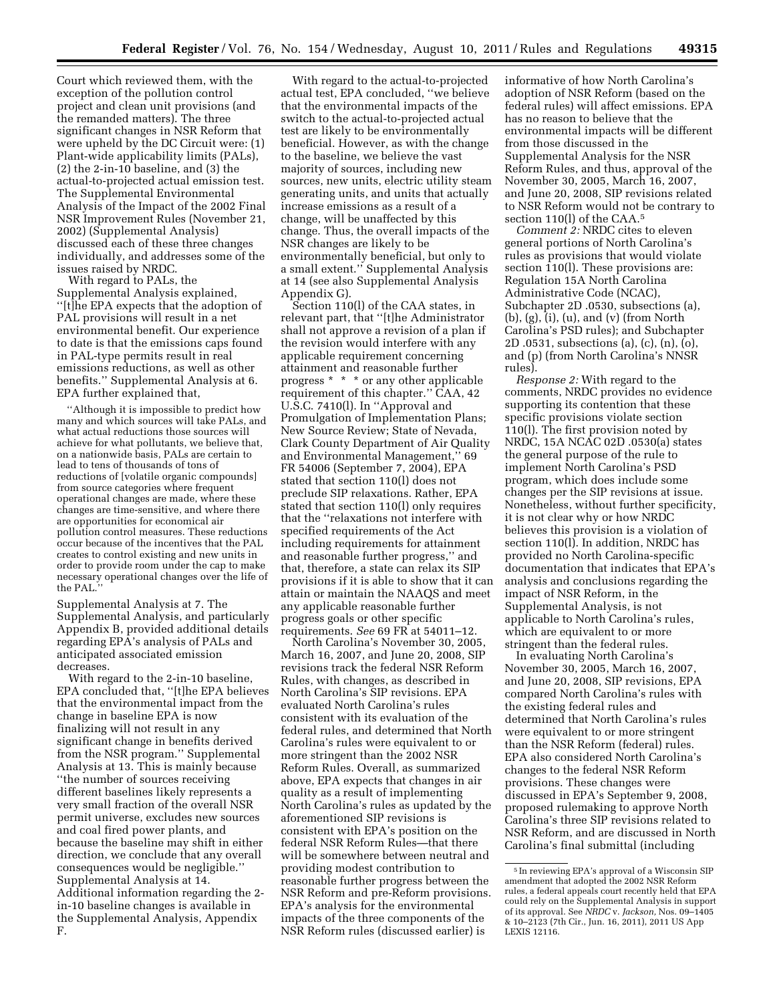Court which reviewed them, with the exception of the pollution control project and clean unit provisions (and the remanded matters). The three significant changes in NSR Reform that were upheld by the DC Circuit were: (1) Plant-wide applicability limits (PALs), (2) the 2-in-10 baseline, and (3) the actual-to-projected actual emission test. The Supplemental Environmental Analysis of the Impact of the 2002 Final NSR Improvement Rules (November 21, 2002) (Supplemental Analysis) discussed each of these three changes individually, and addresses some of the issues raised by NRDC.

With regard to PALs, the Supplemental Analysis explained, ''[t]he EPA expects that the adoption of PAL provisions will result in a net environmental benefit. Our experience to date is that the emissions caps found in PAL-type permits result in real emissions reductions, as well as other benefits.'' Supplemental Analysis at 6. EPA further explained that,

''Although it is impossible to predict how many and which sources will take PALs, and what actual reductions those sources will achieve for what pollutants, we believe that, on a nationwide basis, PALs are certain to lead to tens of thousands of tons of reductions of [volatile organic compounds] from source categories where frequent operational changes are made, where these changes are time-sensitive, and where there are opportunities for economical air pollution control measures. These reductions occur because of the incentives that the PAL creates to control existing and new units in order to provide room under the cap to make necessary operational changes over the life of the PAL.

Supplemental Analysis at 7. The Supplemental Analysis, and particularly Appendix B, provided additional details regarding EPA's analysis of PALs and anticipated associated emission decreases.

With regard to the 2-in-10 baseline, EPA concluded that, ''[t]he EPA believes that the environmental impact from the change in baseline EPA is now finalizing will not result in any significant change in benefits derived from the NSR program.'' Supplemental Analysis at 13. This is mainly because ''the number of sources receiving different baselines likely represents a very small fraction of the overall NSR permit universe, excludes new sources and coal fired power plants, and because the baseline may shift in either direction, we conclude that any overall consequences would be negligible.'' Supplemental Analysis at 14. Additional information regarding the 2 in-10 baseline changes is available in the Supplemental Analysis, Appendix F.

With regard to the actual-to-projected actual test, EPA concluded, ''we believe that the environmental impacts of the switch to the actual-to-projected actual test are likely to be environmentally beneficial. However, as with the change to the baseline, we believe the vast majority of sources, including new sources, new units, electric utility steam generating units, and units that actually increase emissions as a result of a change, will be unaffected by this change. Thus, the overall impacts of the NSR changes are likely to be environmentally beneficial, but only to a small extent.'' Supplemental Analysis at 14 (see also Supplemental Analysis Appendix G).

Section 110(l) of the CAA states, in relevant part, that ''[t]he Administrator shall not approve a revision of a plan if the revision would interfere with any applicable requirement concerning attainment and reasonable further progress \* \* \* or any other applicable requirement of this chapter.'' CAA, 42 U.S.C. 7410(l). In ''Approval and Promulgation of Implementation Plans; New Source Review; State of Nevada, Clark County Department of Air Quality and Environmental Management,'' 69 FR 54006 (September 7, 2004), EPA stated that section 110(l) does not preclude SIP relaxations. Rather, EPA stated that section 110(l) only requires that the ''relaxations not interfere with specified requirements of the Act including requirements for attainment and reasonable further progress,'' and that, therefore, a state can relax its SIP provisions if it is able to show that it can attain or maintain the NAAQS and meet any applicable reasonable further progress goals or other specific requirements. *See* 69 FR at 54011–12.

North Carolina's November 30, 2005, March 16, 2007, and June 20, 2008, SIP revisions track the federal NSR Reform Rules, with changes, as described in North Carolina's SIP revisions. EPA evaluated North Carolina's rules consistent with its evaluation of the federal rules, and determined that North Carolina's rules were equivalent to or more stringent than the 2002 NSR Reform Rules. Overall, as summarized above, EPA expects that changes in air quality as a result of implementing North Carolina's rules as updated by the aforementioned SIP revisions is consistent with EPA's position on the federal NSR Reform Rules—that there will be somewhere between neutral and providing modest contribution to reasonable further progress between the NSR Reform and pre-Reform provisions. EPA's analysis for the environmental impacts of the three components of the NSR Reform rules (discussed earlier) is

informative of how North Carolina's adoption of NSR Reform (based on the federal rules) will affect emissions. EPA has no reason to believe that the environmental impacts will be different from those discussed in the Supplemental Analysis for the NSR Reform Rules, and thus, approval of the November 30, 2005, March 16, 2007, and June 20, 2008, SIP revisions related to NSR Reform would not be contrary to section 110(l) of the CAA.5

*Comment 2:* NRDC cites to eleven general portions of North Carolina's rules as provisions that would violate section 110(l). These provisions are: Regulation 15A North Carolina Administrative Code (NCAC), Subchapter 2D .0530, subsections (a), (b), (g), (i), (u), and (v) (from North Carolina's PSD rules); and Subchapter 2D .0531, subsections (a), (c), (n), (o), and (p) (from North Carolina's NNSR rules).

*Response 2:* With regard to the comments, NRDC provides no evidence supporting its contention that these specific provisions violate section 110(l). The first provision noted by NRDC, 15A NCAC 02D .0530(a) states the general purpose of the rule to implement North Carolina's PSD program, which does include some changes per the SIP revisions at issue. Nonetheless, without further specificity, it is not clear why or how NRDC believes this provision is a violation of section 110(l). In addition, NRDC has provided no North Carolina-specific documentation that indicates that EPA's analysis and conclusions regarding the impact of NSR Reform, in the Supplemental Analysis, is not applicable to North Carolina's rules, which are equivalent to or more stringent than the federal rules.

In evaluating North Carolina's November 30, 2005, March 16, 2007, and June 20, 2008, SIP revisions, EPA compared North Carolina's rules with the existing federal rules and determined that North Carolina's rules were equivalent to or more stringent than the NSR Reform (federal) rules. EPA also considered North Carolina's changes to the federal NSR Reform provisions. These changes were discussed in EPA's September 9, 2008, proposed rulemaking to approve North Carolina's three SIP revisions related to NSR Reform, and are discussed in North Carolina's final submittal (including

<sup>5</sup> In reviewing EPA's approval of a Wisconsin SIP amendment that adopted the 2002 NSR Reform rules, a federal appeals court recently held that EPA could rely on the Supplemental Analysis in support of its approval. See *NRDC* v. *Jackson,* Nos. 09–1405 & 10–2123 (7th Cir., Jun. 16, 2011), 2011 US App LEXIS 12116.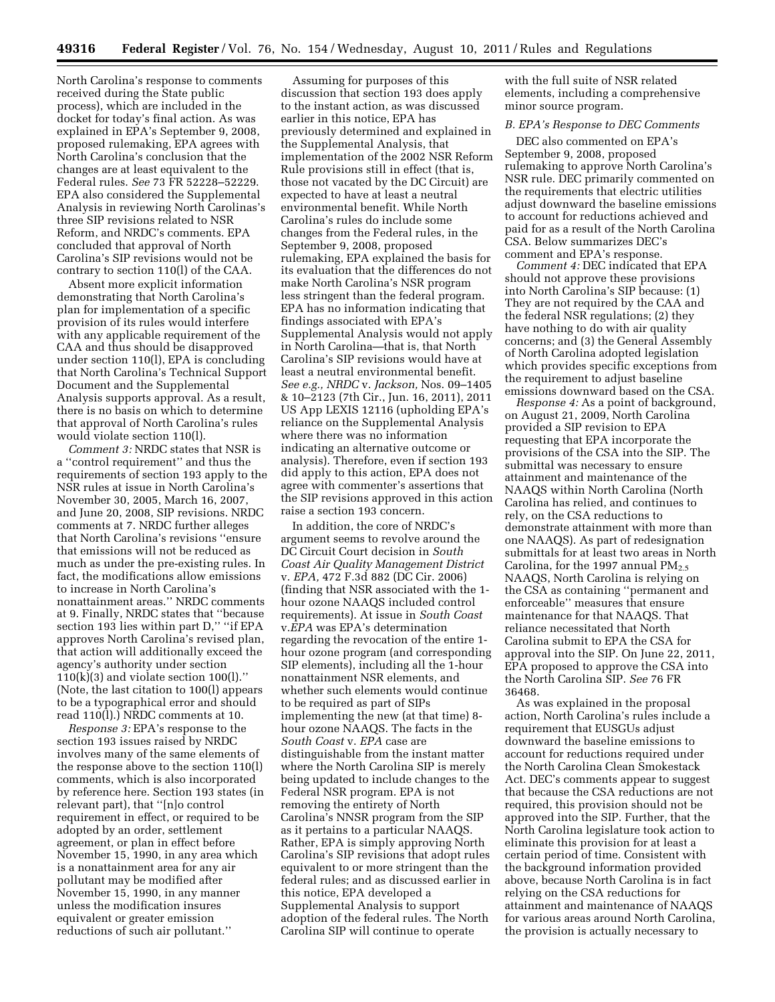North Carolina's response to comments received during the State public process), which are included in the docket for today's final action. As was explained in EPA's September 9, 2008, proposed rulemaking, EPA agrees with North Carolina's conclusion that the changes are at least equivalent to the Federal rules. *See* 73 FR 52228–52229. EPA also considered the Supplemental Analysis in reviewing North Carolinas's three SIP revisions related to NSR Reform, and NRDC's comments. EPA concluded that approval of North Carolina's SIP revisions would not be contrary to section 110(l) of the CAA.

Absent more explicit information demonstrating that North Carolina's plan for implementation of a specific provision of its rules would interfere with any applicable requirement of the CAA and thus should be disapproved under section 110(l), EPA is concluding that North Carolina's Technical Support Document and the Supplemental Analysis supports approval. As a result, there is no basis on which to determine that approval of North Carolina's rules would violate section 110(l).

*Comment 3:* NRDC states that NSR is a ''control requirement'' and thus the requirements of section 193 apply to the NSR rules at issue in North Carolina's November 30, 2005, March 16, 2007, and June 20, 2008, SIP revisions. NRDC comments at 7. NRDC further alleges that North Carolina's revisions ''ensure that emissions will not be reduced as much as under the pre-existing rules. In fact, the modifications allow emissions to increase in North Carolina's nonattainment areas.'' NRDC comments at 9. Finally, NRDC states that ''because section 193 lies within part D," "if EPA approves North Carolina's revised plan, that action will additionally exceed the agency's authority under section  $110(k)(3)$  and violate section  $100(l)$ ." (Note, the last citation to 100(l) appears to be a typographical error and should read 110(l).) NRDC comments at 10.

*Response 3:* EPA's response to the section 193 issues raised by NRDC involves many of the same elements of the response above to the section 110(l) comments, which is also incorporated by reference here. Section 193 states (in relevant part), that ''[n]o control requirement in effect, or required to be adopted by an order, settlement agreement, or plan in effect before November 15, 1990, in any area which is a nonattainment area for any air pollutant may be modified after November 15, 1990, in any manner unless the modification insures equivalent or greater emission reductions of such air pollutant.''

Assuming for purposes of this discussion that section 193 does apply to the instant action, as was discussed earlier in this notice, EPA has previously determined and explained in the Supplemental Analysis, that implementation of the 2002 NSR Reform Rule provisions still in effect (that is, those not vacated by the DC Circuit) are expected to have at least a neutral environmental benefit. While North Carolina's rules do include some changes from the Federal rules, in the September 9, 2008, proposed rulemaking, EPA explained the basis for its evaluation that the differences do not make North Carolina's NSR program less stringent than the federal program. EPA has no information indicating that findings associated with EPA's Supplemental Analysis would not apply in North Carolina—that is, that North Carolina's SIP revisions would have at least a neutral environmental benefit. *See e.g., NRDC* v. *Jackson,* Nos. 09–1405 & 10–2123 (7th Cir., Jun. 16, 2011), 2011 US App LEXIS 12116 (upholding EPA's reliance on the Supplemental Analysis where there was no information indicating an alternative outcome or analysis). Therefore, even if section 193 did apply to this action, EPA does not agree with commenter's assertions that the SIP revisions approved in this action raise a section 193 concern.

In addition, the core of NRDC's argument seems to revolve around the DC Circuit Court decision in *South Coast Air Quality Management District*  v. *EPA,* 472 F.3d 882 (DC Cir. 2006) (finding that NSR associated with the 1 hour ozone NAAQS included control requirements). At issue in *South Coast*  v.*EPA* was EPA's determination regarding the revocation of the entire 1 hour ozone program (and corresponding SIP elements), including all the 1-hour nonattainment NSR elements, and whether such elements would continue to be required as part of SIPs implementing the new (at that time) 8 hour ozone NAAQS. The facts in the *South Coast* v. *EPA* case are distinguishable from the instant matter where the North Carolina SIP is merely being updated to include changes to the Federal NSR program. EPA is not removing the entirety of North Carolina's NNSR program from the SIP as it pertains to a particular NAAQS. Rather, EPA is simply approving North Carolina's SIP revisions that adopt rules equivalent to or more stringent than the federal rules; and as discussed earlier in this notice, EPA developed a Supplemental Analysis to support adoption of the federal rules. The North Carolina SIP will continue to operate

with the full suite of NSR related elements, including a comprehensive minor source program.

# *B. EPA's Response to DEC Comments*

DEC also commented on EPA's September 9, 2008, proposed rulemaking to approve North Carolina's NSR rule. DEC primarily commented on the requirements that electric utilities adjust downward the baseline emissions to account for reductions achieved and paid for as a result of the North Carolina CSA. Below summarizes DEC's comment and EPA's response.

*Comment 4:* DEC indicated that EPA should not approve these provisions into North Carolina's SIP because: (1) They are not required by the CAA and the federal NSR regulations; (2) they have nothing to do with air quality concerns; and (3) the General Assembly of North Carolina adopted legislation which provides specific exceptions from the requirement to adjust baseline emissions downward based on the CSA.

*Response 4:* As a point of background, on August 21, 2009, North Carolina provided a SIP revision to EPA requesting that EPA incorporate the provisions of the CSA into the SIP. The submittal was necessary to ensure attainment and maintenance of the NAAQS within North Carolina (North Carolina has relied, and continues to rely, on the CSA reductions to demonstrate attainment with more than one NAAQS). As part of redesignation submittals for at least two areas in North Carolina, for the 1997 annual PM<sub>2.5</sub> NAAQS, North Carolina is relying on the CSA as containing ''permanent and enforceable'' measures that ensure maintenance for that NAAQS. That reliance necessitated that North Carolina submit to EPA the CSA for approval into the SIP. On June 22, 2011, EPA proposed to approve the CSA into the North Carolina SIP. *See* 76 FR 36468.

As was explained in the proposal action, North Carolina's rules include a requirement that EUSGUs adjust downward the baseline emissions to account for reductions required under the North Carolina Clean Smokestack Act. DEC's comments appear to suggest that because the CSA reductions are not required, this provision should not be approved into the SIP. Further, that the North Carolina legislature took action to eliminate this provision for at least a certain period of time. Consistent with the background information provided above, because North Carolina is in fact relying on the CSA reductions for attainment and maintenance of NAAQS for various areas around North Carolina, the provision is actually necessary to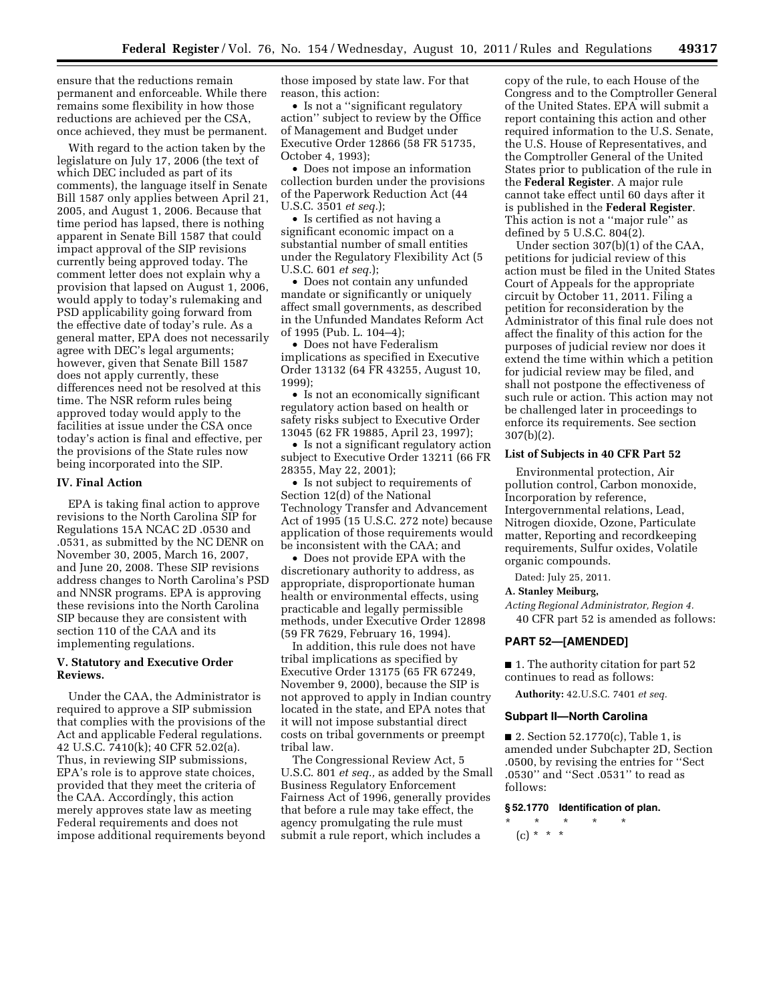ensure that the reductions remain permanent and enforceable. While there remains some flexibility in how those reductions are achieved per the CSA, once achieved, they must be permanent.

With regard to the action taken by the legislature on July 17, 2006 (the text of which DEC included as part of its comments), the language itself in Senate Bill 1587 only applies between April 21, 2005, and August 1, 2006. Because that time period has lapsed, there is nothing apparent in Senate Bill 1587 that could impact approval of the SIP revisions currently being approved today. The comment letter does not explain why a provision that lapsed on August 1, 2006, would apply to today's rulemaking and PSD applicability going forward from the effective date of today's rule. As a general matter, EPA does not necessarily agree with DEC's legal arguments; however, given that Senate Bill 1587 does not apply currently, these differences need not be resolved at this time. The NSR reform rules being approved today would apply to the facilities at issue under the CSA once today's action is final and effective, per the provisions of the State rules now being incorporated into the SIP.

#### **IV. Final Action**

EPA is taking final action to approve revisions to the North Carolina SIP for Regulations 15A NCAC 2D .0530 and .0531, as submitted by the NC DENR on November 30, 2005, March 16, 2007, and June 20, 2008. These SIP revisions address changes to North Carolina's PSD and NNSR programs. EPA is approving these revisions into the North Carolina SIP because they are consistent with section 110 of the CAA and its implementing regulations.

### **V. Statutory and Executive Order Reviews.**

Under the CAA, the Administrator is required to approve a SIP submission that complies with the provisions of the Act and applicable Federal regulations. 42 U.S.C. 7410(k); 40 CFR 52.02(a). Thus, in reviewing SIP submissions, EPA's role is to approve state choices, provided that they meet the criteria of the CAA. Accordingly, this action merely approves state law as meeting Federal requirements and does not impose additional requirements beyond those imposed by state law. For that reason, this action:

• Is not a "significant regulatory action'' subject to review by the Office of Management and Budget under Executive Order 12866 (58 FR 51735, October 4, 1993);

• Does not impose an information collection burden under the provisions of the Paperwork Reduction Act (44 U.S.C. 3501 *et seq.*);

• Is certified as not having a significant economic impact on a substantial number of small entities under the Regulatory Flexibility Act (5 U.S.C. 601 *et seq.*);

• Does not contain any unfunded mandate or significantly or uniquely affect small governments, as described in the Unfunded Mandates Reform Act of 1995 (Pub. L. 104–4);

• Does not have Federalism implications as specified in Executive Order 13132 (64 FR 43255, August 10, 1999);

• Is not an economically significant regulatory action based on health or safety risks subject to Executive Order 13045 (62 FR 19885, April 23, 1997);

• Is not a significant regulatory action subject to Executive Order 13211 (66 FR 28355, May 22, 2001);

• Is not subject to requirements of Section 12(d) of the National Technology Transfer and Advancement Act of 1995 (15 U.S.C. 272 note) because application of those requirements would be inconsistent with the CAA; and

• Does not provide EPA with the discretionary authority to address, as appropriate, disproportionate human health or environmental effects, using practicable and legally permissible methods, under Executive Order 12898 (59 FR 7629, February 16, 1994).

In addition, this rule does not have tribal implications as specified by Executive Order 13175 (65 FR 67249, November 9, 2000), because the SIP is not approved to apply in Indian country located in the state, and EPA notes that it will not impose substantial direct costs on tribal governments or preempt tribal law.

The Congressional Review Act, 5 U.S.C. 801 *et seq.,* as added by the Small Business Regulatory Enforcement Fairness Act of 1996, generally provides that before a rule may take effect, the agency promulgating the rule must submit a rule report, which includes a

copy of the rule, to each House of the Congress and to the Comptroller General of the United States. EPA will submit a report containing this action and other required information to the U.S. Senate, the U.S. House of Representatives, and the Comptroller General of the United States prior to publication of the rule in the **Federal Register**. A major rule cannot take effect until 60 days after it is published in the **Federal Register**. This action is not a ''major rule'' as defined by 5 U.S.C. 804(2).

Under section 307(b)(1) of the CAA, petitions for judicial review of this action must be filed in the United States Court of Appeals for the appropriate circuit by October 11, 2011. Filing a petition for reconsideration by the Administrator of this final rule does not affect the finality of this action for the purposes of judicial review nor does it extend the time within which a petition for judicial review may be filed, and shall not postpone the effectiveness of such rule or action. This action may not be challenged later in proceedings to enforce its requirements. See section 307(b)(2).

### **List of Subjects in 40 CFR Part 52**

Environmental protection, Air pollution control, Carbon monoxide, Incorporation by reference, Intergovernmental relations, Lead, Nitrogen dioxide, Ozone, Particulate matter, Reporting and recordkeeping requirements, Sulfur oxides, Volatile organic compounds.

Dated: July 25, 2011.

### **A. Stanley Meiburg,**

*Acting Regional Administrator, Region 4.*  40 CFR part 52 is amended as follows:

#### **PART 52—[AMENDED]**

■ 1. The authority citation for part 52 continues to read as follows:

**Authority:** 42.U.S.C. 7401 *et seq.* 

#### **Subpart II—North Carolina**

■ 2. Section 52.1770(c), Table 1, is amended under Subchapter 2D, Section .0500, by revising the entries for ''Sect .0530'' and ''Sect .0531'' to read as follows:

#### **§ 52.1770 Identification of plan.**

\* \* \* \* \* (c) \* \* \*